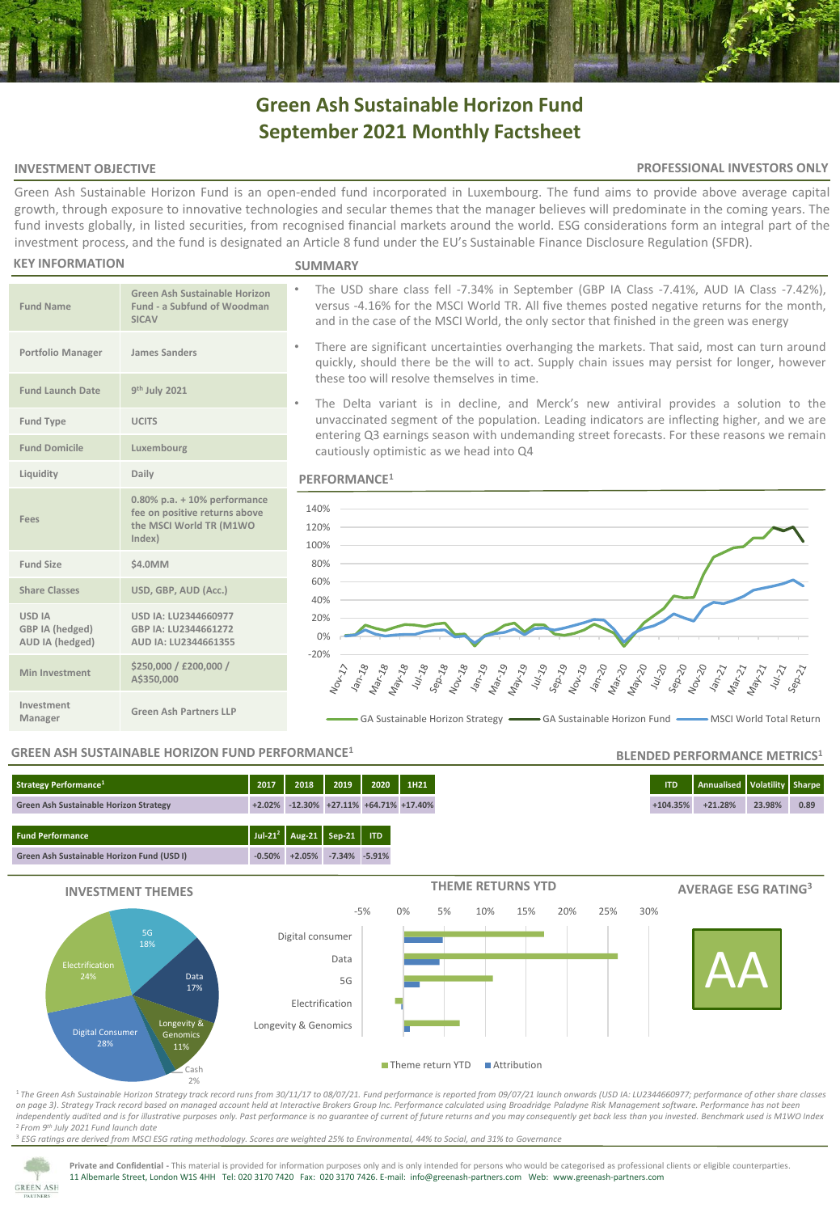# **Green Ash Sustainable Horizon Fund September 2021 Monthly Factsheet**

#### **INVESTMENT OBJECTIVE**

#### **PROFESSIONAL INVESTORS ONLY**

Green Ash Sustainable Horizon Fund is an open-ended fund incorporated in Luxembourg. The fund aims to provide above average capital growth, through exposure to innovative technologies and secular themes that the manager believes will predominate in the coming years. The fund invests globally, in listed securities, from recognised financial markets around the world. ESG considerations form an integral part of the investment process, and the fund is designated an Article 8 fund under the EU's Sustainable Finance Disclosure Regulation (SFDR).

#### **KEY INFORMATION**

**Fund Name**

**Fund Launch Date** 

**Fees**

**USD IA GBP IA (hedged) AUD IA (hedged)**

**Investment** 

#### **SUMMARY**

- The USD share class fell -7.34% in September (GBP IA Class -7.41%, AUD IA Class -7.42%), versus -4.16% for the MSCI World TR. All five themes posted negative returns for the month, and in the case of the MSCI World, the only sector that finished in the green was energy
- There are significant uncertainties overhanging the markets. That said, most can turn around quickly, should there be the will to act. Supply chain issues may persist for longer, however these too will resolve themselves in time.
- The Delta variant is in decline, and Merck's new antiviral provides a solution to the unvaccinated segment of the population. Leading indicators are inflecting higher, and we are entering Q3 earnings season with undemanding street forecasts. For these reasons we remain cautiously optimistic as we head into Q4

#### **PERFORMANCE<sup>1</sup>**



#### **GREEN ASH SUSTAINABLE HORIZON FUND PERFORMANCE<sup>1</sup>**

**Manager Green Ash Partners LLP**

**USD IA: LU2344660977 GBP IA: LU2344661272 AUD IA: LU2344661355**

**Green Ash Sustainable Horizon Fund - a Subfund of Woodman** 

**0.80% p.a. + 10% performance fee on positive returns above the MSCI World TR (M1WO** 

**SICAV**

**th July 2021**

**Index)**

**Share Classes USD, GBP, AUD (Acc.)**

**Min Investment \$250,000 / £200,000 /** 

**A\$350,000**

**Portfolio Manager James Sanders**

**Fund Type UCITS**

**Fund Domicile Luxembourg Liquidity Daily**

**Fund Size \$4.0MM**

## **Fund Performance Jul-21<sup>2</sup> Aug-21 Sep-21 ITD Green Ash Sustainable Horizon Fund (USD I) -0.50% +2.05% -7.34% -5.91% Strategy Performance<sup>1</sup> 2017 2018 2019 2020 1H21 ITD Annualised Volatility Sharpe Green Ash Sustainable Horizon Strategy +2.02% -12.30% +27.11% +64.71% +17.40% +104.35% +21.28% 23.98% 0.89**



<sup>1</sup>*The Green Ash Sustainable Horizon Strategy track record runs from 30/11/17 to 08/07/21. Fund performance is reported from 09/07/21 launch onwards (USD IA: LU2344660977; performance of other share classes on page 3)*. *Strategy Track record based on managed account held at Interactive Brokers Group Inc. Performance calculated using Broadridge Paladyne Risk Management software. Performance has not been independently audited and is for illustrative purposes only. Past performance is no guarantee of current of future returns and you may consequently get back less than you invested. Benchmark used is M1WO Index* <sup>2</sup>*From 9th July 2021 Fund launch date*

<sup>3</sup> *ESG ratings are derived from MSCI ESG rating methodology. Scores are weighted 25% to Environmental, 44% to Social, and 31% to Governance*



Private and Confidential - This material is provided for information purposes only and is only intended for persons who would be categorised as professional clients or eligible counterparties. 11 Albemarle Street, London W1S 4HH Tel: 020 3170 7420 Fax: 020 3170 7426. E-mail: info@greenash-partners.com Web: www.greenash-partners.com

### **BLENDED PERFORMANCE METRICS<sup>1</sup>**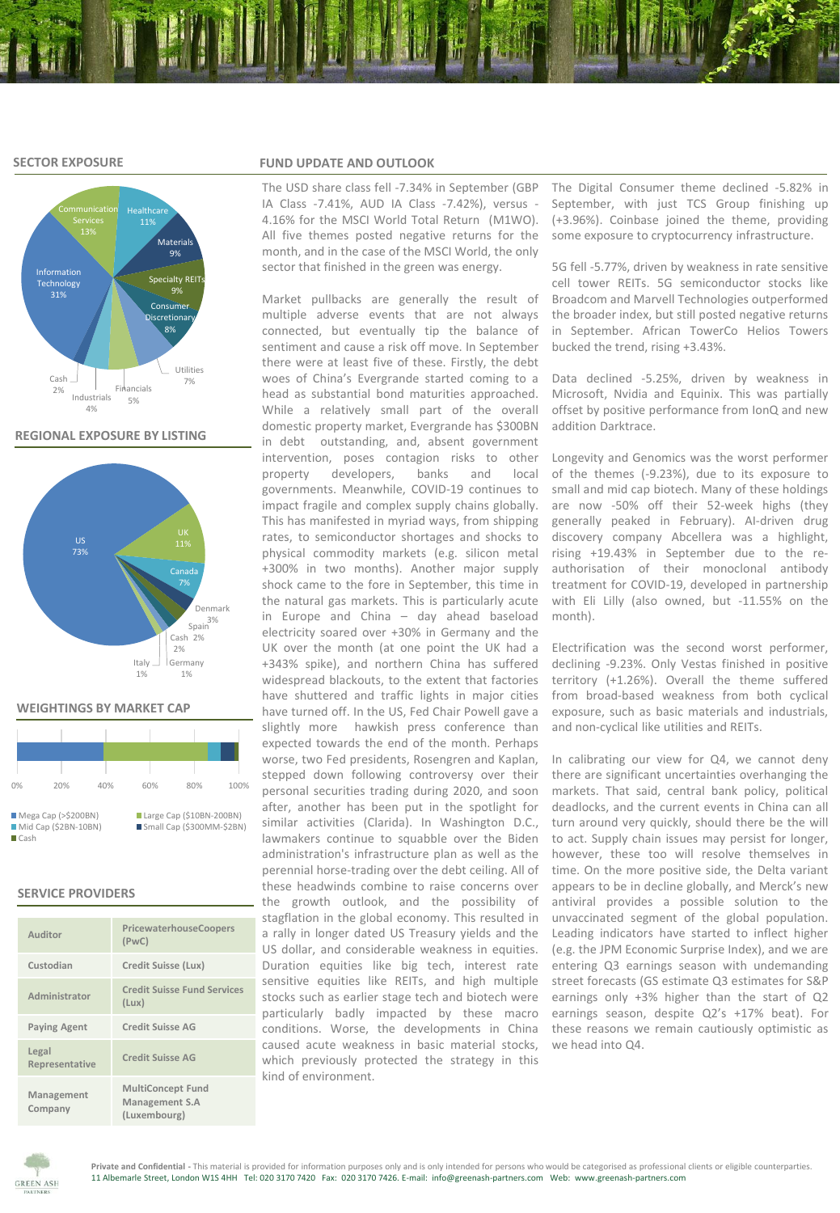#### **SECTOR EXPOSURE**



#### **REGIONAL EXPOSURE BY LISTING**



#### **WEIGHTINGS BY MARKET CAP**

| 0%                                                          | 20% | 40% | 60%                                                   | 80% | 100% |  |  |  |
|-------------------------------------------------------------|-----|-----|-------------------------------------------------------|-----|------|--|--|--|
| Mega Cap (> \$200BN)<br>Mid Cap (\$2BN-10BN)<br><b>Cash</b> |     |     | Large Cap (\$10BN-200BN)<br>Small Cap (\$300MM-\$2BN) |     |      |  |  |  |

#### **SERVICE PROVIDERS**

| Auditor                 | PricewaterhouseCoopers<br>(PWC)                            |
|-------------------------|------------------------------------------------------------|
| Custodian               | Credit Suisse (Lux)                                        |
| Administrator           | <b>Credit Suisse Fund Services</b><br>(Lux)                |
| <b>Paying Agent</b>     | Credit Suisse AG                                           |
| Legal<br>Representative | Credit Suisse AG                                           |
| Management<br>Company   | <b>MultiConcept Fund</b><br>Management S.A<br>(Luxembourg) |

#### **FUND UPDATE AND OUTLOOK**

The USD share class fell -7.34% in September (GBP IA Class -7.41%, AUD IA Class -7.42%), versus - 4.16% for the MSCI World Total Return (M1WO). All five themes posted negative returns for the month, and in the case of the MSCI World, the only sector that finished in the green was energy.

Market pullbacks are generally the result of multiple adverse events that are not always connected, but eventually tip the balance of sentiment and cause a risk off move. In September there were at least five of these. Firstly, the debt woes of China's Evergrande started coming to a head as substantial bond maturities approached. While a relatively small part of the overall domestic property market, Evergrande has \$300BN in debt outstanding, and, absent government intervention, poses contagion risks to other property developers, banks and local governments. Meanwhile, COVID-19 continues to impact fragile and complex supply chains globally. This has manifested in myriad ways, from shipping rates, to semiconductor shortages and shocks to physical commodity markets (e.g. silicon metal +300% in two months). Another major supply shock came to the fore in September, this time in the natural gas markets. This is particularly acute in Europe and China – day ahead baseload electricity soared over +30% in Germany and the UK over the month (at one point the UK had a +343% spike), and northern China has suffered widespread blackouts, to the extent that factories have shuttered and traffic lights in major cities have turned off. In the US, Fed Chair Powell gave a slightly more hawkish press conference than expected towards the end of the month. Perhaps worse, two Fed presidents, Rosengren and Kaplan, stepped down following controversy over their personal securities trading during 2020, and soon after, another has been put in the spotlight for similar activities (Clarida). In Washington D.C., lawmakers continue to squabble over the Biden administration's infrastructure plan as well as the perennial horse-trading over the debt ceiling. All of these headwinds combine to raise concerns over the growth outlook, and the possibility of stagflation in the global economy. This resulted in a rally in longer dated US Treasury yields and the US dollar, and considerable weakness in equities. Duration equities like big tech, interest rate sensitive equities like REITs, and high multiple stocks such as earlier stage tech and biotech were particularly badly impacted by these macro conditions. Worse, the developments in China caused acute weakness in basic material stocks, which previously protected the strategy in this kind of environment.

The Digital Consumer theme declined -5.82% in September, with just TCS Group finishing up (+3.96%). Coinbase joined the theme, providing some exposure to cryptocurrency infrastructure.

5G fell -5.77%, driven by weakness in rate sensitive cell tower REITs. 5G semiconductor stocks like Broadcom and Marvell Technologies outperformed the broader index, but still posted negative returns in September. African TowerCo Helios Towers bucked the trend, rising +3.43%.

Data declined -5.25%, driven by weakness in Microsoft, Nvidia and Equinix. This was partially offset by positive performance from IonQ and new addition Darktrace.

Longevity and Genomics was the worst performer of the themes (-9.23%), due to its exposure to small and mid cap biotech. Many of these holdings are now -50% off their 52-week highs (they generally peaked in February). AI-driven drug discovery company Abcellera was a highlight, rising +19.43% in September due to the reauthorisation of their monoclonal antibody treatment for COVID-19, developed in partnership with Eli Lilly (also owned, but -11.55% on the month).

Electrification was the second worst performer, declining -9.23%. Only Vestas finished in positive territory (+1.26%). Overall the theme suffered from broad-based weakness from both cyclical exposure, such as basic materials and industrials, and non-cyclical like utilities and REITs.

In calibrating our view for Q4, we cannot deny there are significant uncertainties overhanging the markets. That said, central bank policy, political deadlocks, and the current events in China can all turn around very quickly, should there be the will to act. Supply chain issues may persist for longer, however, these too will resolve themselves in time. On the more positive side, the Delta variant appears to be in decline globally, and Merck's new antiviral provides a possible solution to the unvaccinated segment of the global population. Leading indicators have started to inflect higher (e.g. the JPM Economic Surprise Index), and we are entering Q3 earnings season with undemanding street forecasts (GS estimate Q3 estimates for S&P earnings only +3% higher than the start of Q2 earnings season, despite Q2's +17% beat). For these reasons we remain cautiously optimistic as we head into Q4.